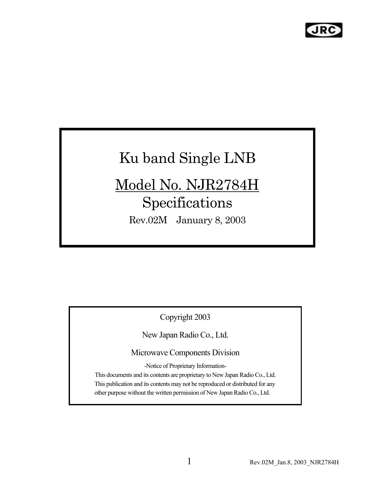## Ku band Single LNB

# Model No. NJR2784H

## Specifications

Rev.02M January 8, 2003

Copyright 2003

New Japan Radio Co., Ltd.

Microwave Components Division

-Notice of Proprietary Information-

This documents and its contents are proprietary to New Japan Radio Co., Ltd. This publication and its contents may not be reproduced or distributed for any other purpose without the written permission of New Japan Radio Co., Ltd.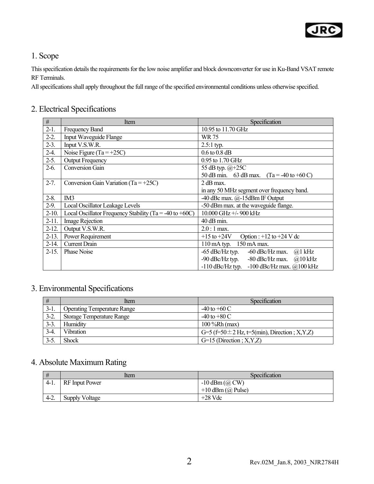

#### 1. Scope

This specification details the requirements for the low noise amplifier and block downconverter for use in Ku-Band VSAT remote RF Terminals.

All specifications shall apply throughout the full range of the specified environmental conditions unless otherwise specified.

#### 2. Electrical Specifications

| $\#$      | Item                                                    | Specification                                                |
|-----------|---------------------------------------------------------|--------------------------------------------------------------|
| $2-1.$    | <b>Frequency Band</b>                                   | 10.95 to 11.70 GHz                                           |
| $2-2.$    | <b>Input Waveguide Flange</b>                           | WR 75                                                        |
| $2-3.$    | Input V.S.W.R.                                          | $2.5:1$ typ.                                                 |
| $2-4.$    | Noise Figure (Ta = $+25C$ )                             | $0.6$ to $0.8$ dB                                            |
| $2-5.$    | <b>Output Frequency</b>                                 | 0.95 to 1.70 GHz                                             |
| $2-6.$    | <b>Conversion Gain</b>                                  | 55 dB typ. @+25C                                             |
|           |                                                         | 50 dB min. 63 dB max. $(Ta = -40 \text{ to } +60 \text{ C})$ |
| $2 - 7.$  | Conversion Gain Variation (Ta = $+25C$ )                | 2 dB max.                                                    |
|           |                                                         | in any 50 MHz segment over frequency band.                   |
| $2 - 8$ . | IM <sub>3</sub>                                         | -40 dBc max. @-15dBm IF Output                               |
| $2-9.$    | Local Oscillator Leakage Levels                         | -50 dBm max. at the waveguide flange.                        |
| $2-10.$   | Local Oscillator Frequency Stability (Ta = -40 to +60C) | 10.000 GHz +/- 900 kHz                                       |
| $2 - 11.$ | <b>Image Rejection</b>                                  | $40$ dB min.                                                 |
| $2-12.$   | Output V.S.W.R.                                         | $2.0:1$ max.                                                 |
| $2-13.$   | Power Requirement                                       | $+15$ to $+24V$<br>Option : $+12$ to $+24$ V dc              |
| $2-14.$   | <b>Current Drain</b>                                    | 110 mA typ. 150 mA max.                                      |
| $2-15.$   | Phase Noise                                             | $-65$ dBc/Hz typ.<br>$-60$ dBc/Hz max.<br>$@1$ kHz           |
|           |                                                         | $-90$ dBc/Hz typ.<br>-80 dBc/Hz max.<br>$(a)$ 10 kHz         |
|           |                                                         | $-110$ dBc/Hz typ.<br>$-100$ dBc/Hz max. $@100$ kHz          |

#### 3. Environmental Specifications

| #      | Item                               | Specification                                     |
|--------|------------------------------------|---------------------------------------------------|
| $3-1.$ | <b>Operating Temperature Range</b> | $-40$ to $+60$ C                                  |
| $3-2.$ | Storage Temperature Range          | $-40$ to $+80$ C                                  |
| $3-3.$ | Humidity                           | $100\%$ Rh (max)                                  |
| $3-4.$ | <b>Vibration</b>                   | G=5 (f=50 $\pm$ 2 Hz, t=5(min), Direction; X,Y,Z) |
| $3-5.$ | <b>Shock</b>                       | $G=15$ (Direction; X, Y, Z)                       |

#### 4. Absolute Maximum Rating

|        | ltem           | Specification            |
|--------|----------------|--------------------------|
|        | RF Input Power | $-10$ dBm ( $\omega$ CW) |
|        |                | $+10$ dBm ( $(a)$ Pulse) |
| $4-2.$ | Supply Voltage | $+28$ Vdc                |